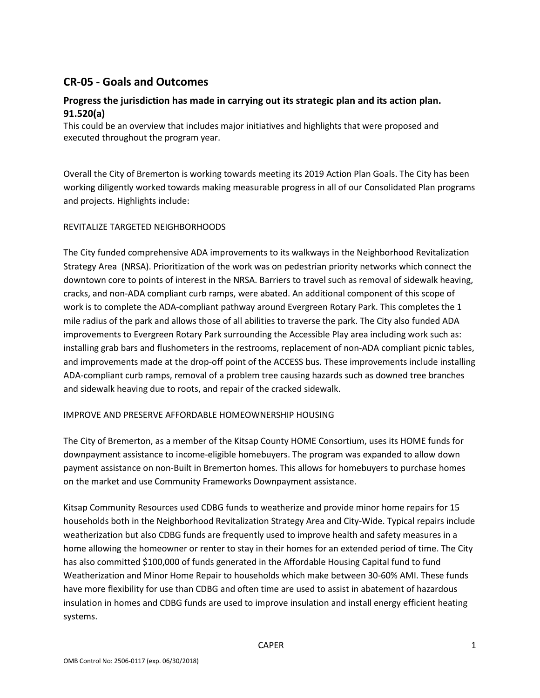## **CR-05 - Goals and Outcomes**

## **Progress the jurisdiction has made in carrying out its strategic plan and its action plan. 91.520(a)**

This could be an overview that includes major initiatives and highlights that were proposed and executed throughout the program year.

Overall the City of Bremerton is working towards meeting its 2019 Action Plan Goals. The City has been working diligently worked towards making measurable progress in all of our Consolidated Plan programs and projects. Highlights include:

#### REVITALIZE TARGETED NEIGHBORHOODS

The City funded comprehensive ADA improvements to its walkways in the Neighborhood Revitalization Strategy Area (NRSA). Prioritization of the work was on pedestrian priority networks which connect the downtown core to points of interest in the NRSA. Barriers to travel such as removal of sidewalk heaving, cracks, and non-ADA compliant curb ramps, were abated. An additional component of this scope of work is to complete the ADA-compliant pathway around Evergreen Rotary Park. This completes the 1 mile radius of the park and allows those of all abilities to traverse the park. The City also funded ADA improvements to Evergreen Rotary Park surrounding the Accessible Play area including work such as: installing grab bars and flushometers in the restrooms, replacement of non-ADA compliant picnic tables, and improvements made at the drop-off point of the ACCESS bus. These improvements include installing ADA-compliant curb ramps, removal of a problem tree causing hazards such as downed tree branches and sidewalk heaving due to roots, and repair of the cracked sidewalk.

#### IMPROVE AND PRESERVE AFFORDABLE HOMEOWNERSHIP HOUSING

The City of Bremerton, as a member of the Kitsap County HOME Consortium, uses its HOME funds for downpayment assistance to income-eligible homebuyers. The program was expanded to allow down payment assistance on non-Built in Bremerton homes. This allows for homebuyers to purchase homes on the market and use Community Frameworks Downpayment assistance.

Kitsap Community Resources used CDBG funds to weatherize and provide minor home repairs for 15 households both in the Neighborhood Revitalization Strategy Area and City-Wide. Typical repairs include weatherization but also CDBG funds are frequently used to improve health and safety measures in a home allowing the homeowner or renter to stay in their homes for an extended period of time. The City has also committed \$100,000 of funds generated in the Affordable Housing Capital fund to fund Weatherization and Minor Home Repair to households which make between 30-60% AMI. These funds have more flexibility for use than CDBG and often time are used to assist in abatement of hazardous insulation in homes and CDBG funds are used to improve insulation and install energy efficient heating systems.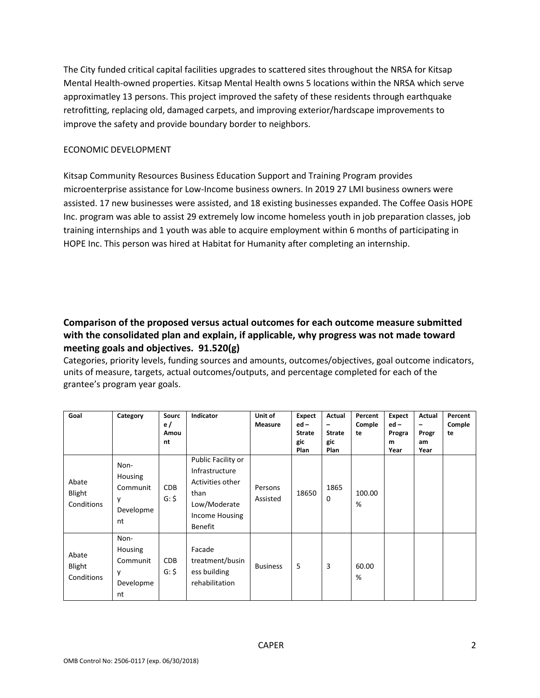The City funded critical capital facilities upgrades to scattered sites throughout the NRSA for Kitsap Mental Health-owned properties. Kitsap Mental Health owns 5 locations within the NRSA which serve approximatley 13 persons. This project improved the safety of these residents through earthquake retrofitting, replacing old, damaged carpets, and improving exterior/hardscape improvements to improve the safety and provide boundary border to neighbors.

#### ECONOMIC DEVELOPMENT

Kitsap Community Resources Business Education Support and Training Program provides microenterprise assistance for Low-Income business owners. In 2019 27 LMI business owners were assisted. 17 new businesses were assisted, and 18 existing businesses expanded. The Coffee Oasis HOPE Inc. program was able to assist 29 extremely low income homeless youth in job preparation classes, job training internships and 1 youth was able to acquire employment within 6 months of participating in HOPE Inc. This person was hired at Habitat for Humanity after completing an internship.

## **Comparison of the proposed versus actual outcomes for each outcome measure submitted with the consolidated plan and explain, if applicable, why progress was not made toward meeting goals and objectives. 91.520(g)**

Categories, priority levels, funding sources and amounts, outcomes/objectives, goal outcome indicators, units of measure, targets, actual outcomes/outputs, and percentage completed for each of the grantee's program year goals.

| Goal                          | Category                                            | <b>Sourc</b><br>e/<br>Amou<br>nt | Indicator                                                                                                            | Unit of<br><b>Measure</b> | <b>Expect</b><br>$ed -$<br><b>Strate</b><br>gic<br>Plan | Actual<br>$\overline{\phantom{0}}$<br><b>Strate</b><br>gic<br>Plan | Percent<br>Comple<br>te | <b>Expect</b><br>$ed -$<br>Progra<br>m<br>Year | Actual<br>$\qquad \qquad \blacksquare$<br>Progr<br>am<br>Year | Percent<br>Comple<br>te |
|-------------------------------|-----------------------------------------------------|----------------------------------|----------------------------------------------------------------------------------------------------------------------|---------------------------|---------------------------------------------------------|--------------------------------------------------------------------|-------------------------|------------------------------------------------|---------------------------------------------------------------|-------------------------|
| Abate<br>Blight<br>Conditions | Non-<br>Housing<br>Communit<br>y<br>Developme<br>nt | <b>CDB</b><br>$G:$ \$            | Public Facility or<br>Infrastructure<br>Activities other<br>than<br>Low/Moderate<br>Income Housing<br><b>Benefit</b> | Persons<br>Assisted       | 18650                                                   | 1865<br>0                                                          | 100.00<br>%             |                                                |                                                               |                         |
| Abate<br>Blight<br>Conditions | Non-<br>Housing<br>Communit<br>y<br>Developme<br>nt | <b>CDB</b><br>$G:$ \$            | Facade<br>treatment/busin<br>ess building<br>rehabilitation                                                          | <b>Business</b>           | 5                                                       | 3                                                                  | 60.00<br>%              |                                                |                                                               |                         |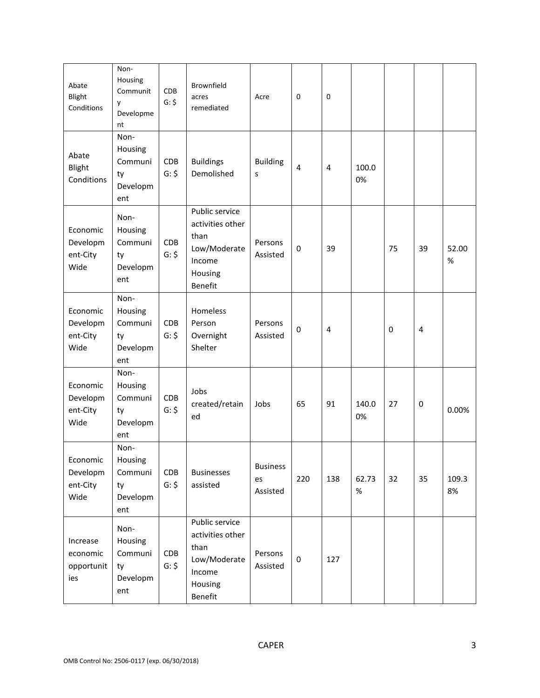| Abate<br>Blight<br>Conditions             | Non-<br>Housing<br>Communit<br>y<br>Developme<br>nt | <b>CDB</b><br>$G:$ \$ | Brownfield<br>acres<br>remediated                                                          | Acre                              | 0           | $\mathbf 0$ |               |           |    |               |
|-------------------------------------------|-----------------------------------------------------|-----------------------|--------------------------------------------------------------------------------------------|-----------------------------------|-------------|-------------|---------------|-----------|----|---------------|
| Abate<br>Blight<br>Conditions             | Non-<br>Housing<br>Communi<br>ty<br>Developm<br>ent | <b>CDB</b><br>$G:$ \$ | <b>Buildings</b><br>Demolished                                                             | <b>Building</b><br>S              | 4           | 4           | 100.0<br>0%   |           |    |               |
| Economic<br>Developm<br>ent-City<br>Wide  | Non-<br>Housing<br>Communi<br>ty<br>Developm<br>ent | CDB<br>$G:$ \$        | Public service<br>activities other<br>than<br>Low/Moderate<br>Income<br>Housing<br>Benefit | Persons<br>Assisted               | $\mathbf 0$ | 39          |               | 75        | 39 | 52.00<br>$\%$ |
| Economic<br>Developm<br>ent-City<br>Wide  | Non-<br>Housing<br>Communi<br>ty<br>Developm<br>ent | <b>CDB</b><br>$G:$ \$ | Homeless<br>Person<br>Overnight<br>Shelter                                                 | Persons<br>Assisted               | 0           | 4           |               | $\pmb{0}$ | 4  |               |
| Economic<br>Developm<br>ent-City<br>Wide  | Non-<br>Housing<br>Communi<br>ty<br>Developm<br>ent | <b>CDB</b><br>$G:$ \$ | Jobs<br>created/retain<br>ed                                                               | Jobs                              | 65          | 91          | 140.0<br>0%   | 27        | 0  | 0.00%         |
| Economic<br>Developm<br>ent-City<br>Wide  | Non-<br>Housing<br>Communi<br>ty<br>Developm<br>ent | CDB<br>$G:$ \$        | <b>Businesses</b><br>assisted                                                              | <b>Business</b><br>es<br>Assisted | 220         | 138         | 62.73<br>$\%$ | 32        | 35 | 109.3<br>8%   |
| Increase<br>economic<br>opportunit<br>ies | Non-<br>Housing<br>Communi<br>ty<br>Developm<br>ent | CDB<br>$G:$ \$        | Public service<br>activities other<br>than<br>Low/Moderate<br>Income<br>Housing<br>Benefit | Persons<br>Assisted               | $\pmb{0}$   | 127         |               |           |    |               |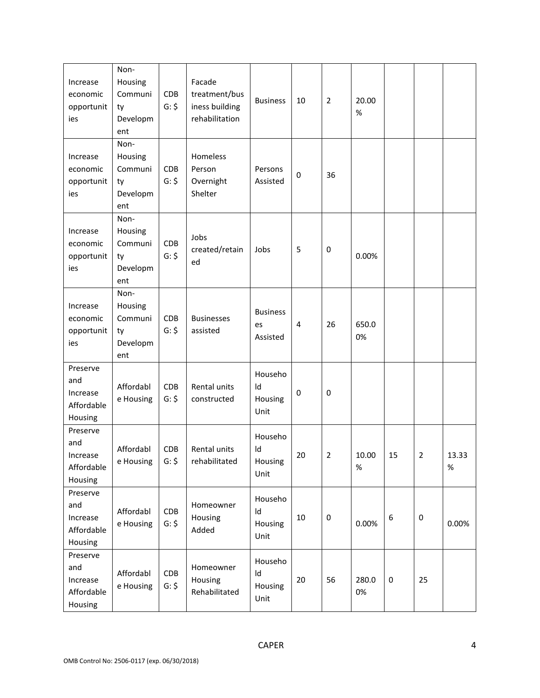| Increase<br>economic<br>opportunit<br>ies            | Non-<br>Housing<br>Communi<br>ty<br>Developm<br>ent | CDB<br>$G:$ \$        | Facade<br>treatment/bus<br>iness building<br>rehabilitation | <b>Business</b>                   | 10          | $\overline{2}$ | 20.00<br>%    |           |                |            |
|------------------------------------------------------|-----------------------------------------------------|-----------------------|-------------------------------------------------------------|-----------------------------------|-------------|----------------|---------------|-----------|----------------|------------|
| Increase<br>economic<br>opportunit<br>ies            | Non-<br>Housing<br>Communi<br>ty<br>Developm<br>ent | CDB<br>$G:$ \$        | Homeless<br>Person<br>Overnight<br>Shelter                  | Persons<br>Assisted               | $\pmb{0}$   | 36             |               |           |                |            |
| Increase<br>economic<br>opportunit<br>ies            | Non-<br>Housing<br>Communi<br>ty<br>Developm<br>ent | CDB<br>$G:$ \$        | Jobs<br>created/retain<br>ed                                | Jobs                              | 5           | 0              | 0.00%         |           |                |            |
| Increase<br>economic<br>opportunit<br>ies            | Non-<br>Housing<br>Communi<br>ty<br>Developm<br>ent | <b>CDB</b><br>$G:$ \$ | <b>Businesses</b><br>assisted                               | <b>Business</b><br>es<br>Assisted | 4           | 26             | 650.0<br>0%   |           |                |            |
| Preserve<br>and<br>Increase<br>Affordable<br>Housing | Affordabl<br>e Housing                              | CDB<br>$G:$ \$        | Rental units<br>constructed                                 | Househo<br>Id<br>Housing<br>Unit  | $\mathbf 0$ | 0              |               |           |                |            |
| Preserve<br>and<br>Increase<br>Affordable<br>Housing | Affordabl<br>e Housing                              | <b>CDB</b><br>$G:$ \$ | Rental units<br>rehabilitated                               | Househo<br>ld<br>Housing<br>Unit  | 20          | 2              | 10.00<br>$\%$ | 15        | $\overline{2}$ | 13.33<br>% |
| Preserve<br>and<br>Increase<br>Affordable<br>Housing | Affordabl<br>e Housing                              | CDB<br>$G:$ \$        | Homeowner<br>Housing<br>Added                               | Househo<br>Id<br>Housing<br>Unit  | 10          | $\pmb{0}$      | 0.00%         | 6         | 0              | 0.00%      |
| Preserve<br>and<br>Increase<br>Affordable<br>Housing | Affordabl<br>e Housing                              | CDB<br>$G:$ \$        | Homeowner<br>Housing<br>Rehabilitated                       | Househo<br>Id<br>Housing<br>Unit  | 20          | 56             | 280.0<br>0%   | $\pmb{0}$ | 25             |            |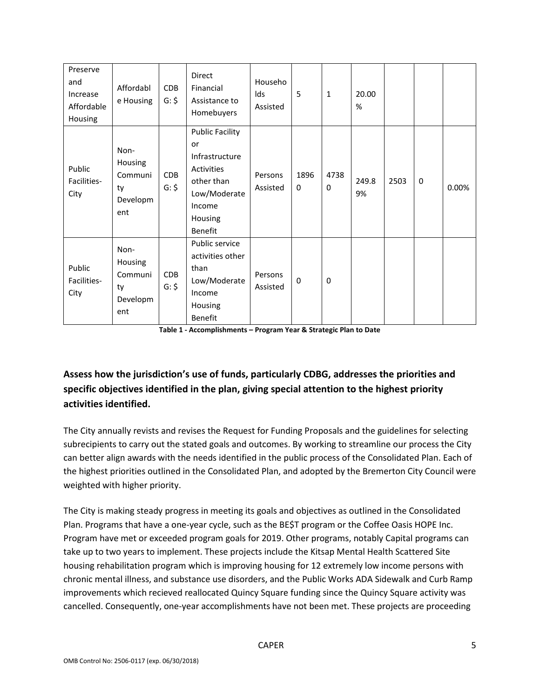| Preserve<br>and<br>Increase<br>Affordable<br>Housing | Affordabl<br>e Housing                              | CDB<br>$G:$ \$        | Direct<br>Financial<br>Assistance to<br>Homebuyers                                                                         | Househo<br>lds<br>Assisted | 5                   | $\mathbf{1}$ | 20.00<br>%  |      |              |       |
|------------------------------------------------------|-----------------------------------------------------|-----------------------|----------------------------------------------------------------------------------------------------------------------------|----------------------------|---------------------|--------------|-------------|------|--------------|-------|
| Public<br>Facilities-<br>City                        | Non-<br>Housing<br>Communi<br>ty<br>Developm<br>ent | <b>CDB</b><br>$G:$ \$ | <b>Public Facility</b><br>or<br>Infrastructure<br>Activities<br>other than<br>Low/Moderate<br>Income<br>Housing<br>Benefit | Persons<br>Assisted        | 1896<br>$\mathbf 0$ | 4738<br>0    | 249.8<br>9% | 2503 | $\mathbf{0}$ | 0.00% |
| Public<br>Facilities-<br>City                        | Non-<br>Housing<br>Communi<br>ty<br>Developm<br>ent | CDB<br>$G:$ \$        | Public service<br>activities other<br>than<br>Low/Moderate<br>Income<br>Housing<br><b>Benefit</b>                          | Persons<br>Assisted        | $\mathbf 0$         | 0            |             |      |              |       |

**Table 1 - Accomplishments – Program Year & Strategic Plan to Date**

## **Assess how the jurisdiction's use of funds, particularly CDBG, addresses the priorities and specific objectives identified in the plan, giving special attention to the highest priority activities identified.**

The City annually revists and revises the Request for Funding Proposals and the guidelines for selecting subrecipients to carry out the stated goals and outcomes. By working to streamline our process the City can better align awards with the needs identified in the public process of the Consolidated Plan. Each of the highest priorities outlined in the Consolidated Plan, and adopted by the Bremerton City Council were weighted with higher priority.

The City is making steady progress in meeting its goals and objectives as outlined in the Consolidated Plan. Programs that have a one-year cycle, such as the BE\$T program or the Coffee Oasis HOPE Inc. Program have met or exceeded program goals for 2019. Other programs, notably Capital programs can take up to two years to implement. These projects include the Kitsap Mental Health Scattered Site housing rehabilitation program which is improving housing for 12 extremely low income persons with chronic mental illness, and substance use disorders, and the Public Works ADA Sidewalk and Curb Ramp improvements which recieved reallocated Quincy Square funding since the Quincy Square activity was cancelled. Consequently, one-year accomplishments have not been met. These projects are proceeding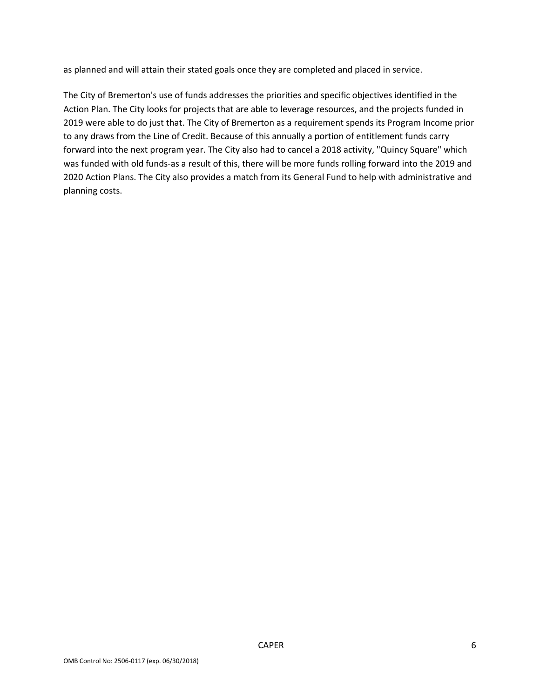as planned and will attain their stated goals once they are completed and placed in service.

The City of Bremerton's use of funds addresses the priorities and specific objectives identified in the Action Plan. The City looks for projects that are able to leverage resources, and the projects funded in 2019 were able to do just that. The City of Bremerton as a requirement spends its Program Income prior to any draws from the Line of Credit. Because of this annually a portion of entitlement funds carry forward into the next program year. The City also had to cancel a 2018 activity, "Quincy Square" which was funded with old funds-as a result of this, there will be more funds rolling forward into the 2019 and 2020 Action Plans. The City also provides a match from its General Fund to help with administrative and planning costs.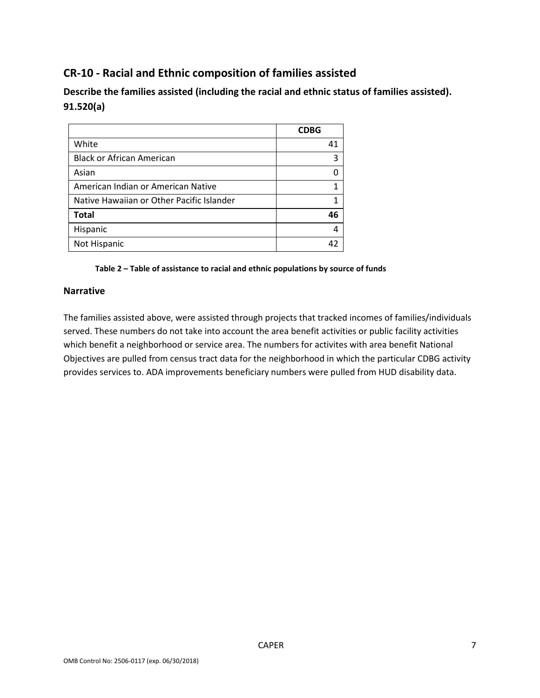# **CR-10 - Racial and Ethnic composition of families assisted**

**Describe the families assisted (including the racial and ethnic status of families assisted). 91.520(a)** 

|                                           | <b>CDBG</b> |
|-------------------------------------------|-------------|
| White                                     | 41          |
| <b>Black or African American</b>          | 3           |
| Asian                                     |             |
| American Indian or American Native        |             |
| Native Hawaiian or Other Pacific Islander |             |
| <b>Total</b>                              | 46          |
| Hispanic                                  | 4           |
| Not Hispanic                              | 42          |

#### **Table 2 – Table of assistance to racial and ethnic populations by source of funds**

#### **Narrative**

The families assisted above, were assisted through projects that tracked incomes of families/individuals served. These numbers do not take into account the area benefit activities or public facility activities which benefit a neighborhood or service area. The numbers for activites with area benefit National Objectives are pulled from census tract data for the neighborhood in which the particular CDBG activity provides services to. ADA improvements beneficiary numbers were pulled from HUD disability data.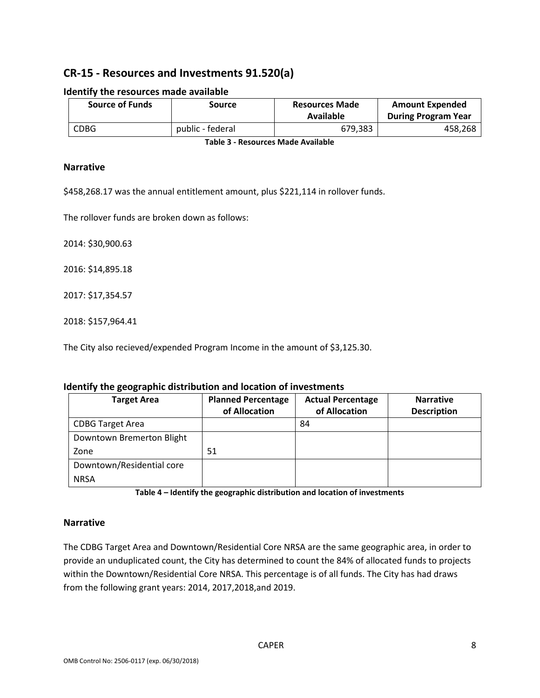# **CR-15 - Resources and Investments 91.520(a)**

| <b>Source of Funds</b> | Source           | <b>Resources Made</b><br>Available | <b>Amount Expended</b><br><b>During Program Year</b> |
|------------------------|------------------|------------------------------------|------------------------------------------------------|
| <b>CDBG</b>            | public - federal | 679.383                            | 458,268                                              |

#### **Identify the resources made available**

**Table 3 - Resources Made Available**

#### **Narrative**

\$458,268.17 was the annual entitlement amount, plus \$221,114 in rollover funds.

The rollover funds are broken down as follows:

2014: \$30,900.63

2016: \$14,895.18

2017: \$17,354.57

2018: \$157,964.41

The City also recieved/expended Program Income in the amount of \$3,125.30.

#### **Identify the geographic distribution and location of investments**

| <b>Target Area</b>        | <b>Planned Percentage</b><br>of Allocation | <b>Actual Percentage</b><br>of Allocation | <b>Narrative</b><br><b>Description</b> |
|---------------------------|--------------------------------------------|-------------------------------------------|----------------------------------------|
| <b>CDBG Target Area</b>   |                                            | 84                                        |                                        |
| Downtown Bremerton Blight |                                            |                                           |                                        |
| Zone                      | 51                                         |                                           |                                        |
| Downtown/Residential core |                                            |                                           |                                        |
| <b>NRSA</b>               |                                            |                                           |                                        |

**Table 4 – Identify the geographic distribution and location of investments**

#### **Narrative**

The CDBG Target Area and Downtown/Residential Core NRSA are the same geographic area, in order to provide an unduplicated count, the City has determined to count the 84% of allocated funds to projects within the Downtown/Residential Core NRSA. This percentage is of all funds. The City has had draws from the following grant years: 2014, 2017,2018,and 2019.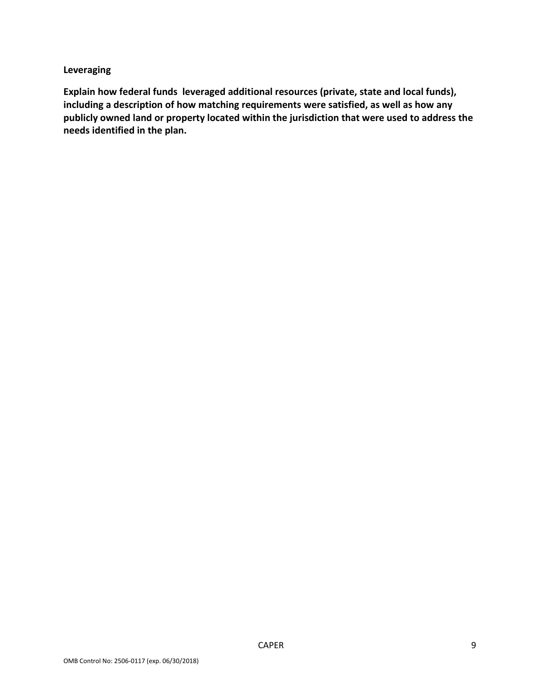### **Leveraging**

**Explain how federal funds leveraged additional resources (private, state and local funds), including a description of how matching requirements were satisfied, as well as how any publicly owned land or property located within the jurisdiction that were used to address the needs identified in the plan.**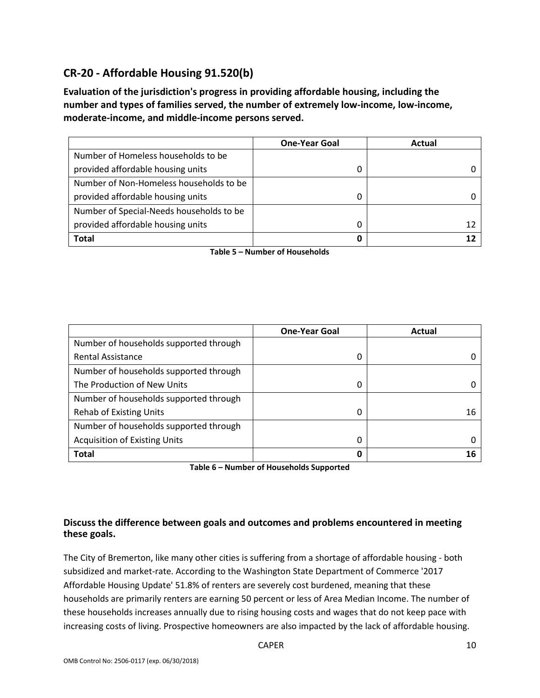# **CR-20 - Affordable Housing 91.520(b)**

**Evaluation of the jurisdiction's progress in providing affordable housing, including the number and types of families served, the number of extremely low-income, low-income, moderate-income, and middle-income persons served.**

|                                          | <b>One-Year Goal</b> | Actual |
|------------------------------------------|----------------------|--------|
| Number of Homeless households to be      |                      |        |
| provided affordable housing units        |                      |        |
| Number of Non-Homeless households to be  |                      |        |
| provided affordable housing units        | 0                    |        |
| Number of Special-Needs households to be |                      |        |
| provided affordable housing units        |                      |        |
| Total                                    | 0                    |        |

**Table 5 – Number of Households**

|                                        | <b>One-Year Goal</b> | Actual |
|----------------------------------------|----------------------|--------|
| Number of households supported through |                      |        |
| <b>Rental Assistance</b>               | 0                    |        |
| Number of households supported through |                      |        |
| The Production of New Units            | 0                    |        |
| Number of households supported through |                      |        |
| <b>Rehab of Existing Units</b>         | 0                    | 16     |
| Number of households supported through |                      |        |
| <b>Acquisition of Existing Units</b>   | 0                    |        |
| <b>Total</b>                           | 0                    | 16     |

**Table 6 – Number of Households Supported**

## **Discuss the difference between goals and outcomes and problems encountered in meeting these goals.**

The City of Bremerton, like many other cities is suffering from a shortage of affordable housing - both subsidized and market-rate. According to the Washington State Department of Commerce '2017 Affordable Housing Update' 51.8% of renters are severely cost burdened, meaning that these households are primarily renters are earning 50 percent or less of Area Median Income. The number of these households increases annually due to rising housing costs and wages that do not keep pace with increasing costs of living. Prospective homeowners are also impacted by the lack of affordable housing.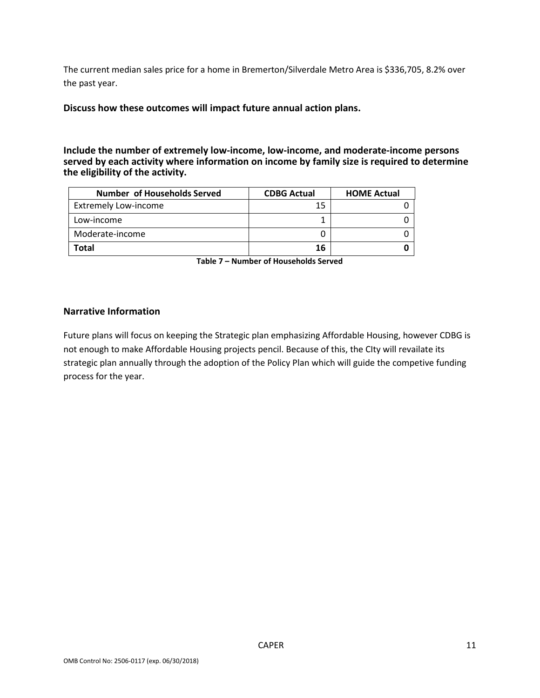The current median sales price for a home in Bremerton/Silverdale Metro Area is \$336,705, 8.2% over the past year.

**Discuss how these outcomes will impact future annual action plans.**

**Include the number of extremely low-income, low-income, and moderate-income persons served by each activity where information on income by family size is required to determine the eligibility of the activity.**

| <b>Number of Households Served</b> | <b>CDBG Actual</b> | <b>HOME Actual</b> |
|------------------------------------|--------------------|--------------------|
| <b>Extremely Low-income</b>        | 15                 |                    |
| Low-income                         |                    |                    |
| Moderate-income                    |                    |                    |
| Total                              | 16                 |                    |

**Table 7 – Number of Households Served**

#### **Narrative Information**

Future plans will focus on keeping the Strategic plan emphasizing Affordable Housing, however CDBG is not enough to make Affordable Housing projects pencil. Because of this, the CIty will revailate its strategic plan annually through the adoption of the Policy Plan which will guide the competive funding process for the year.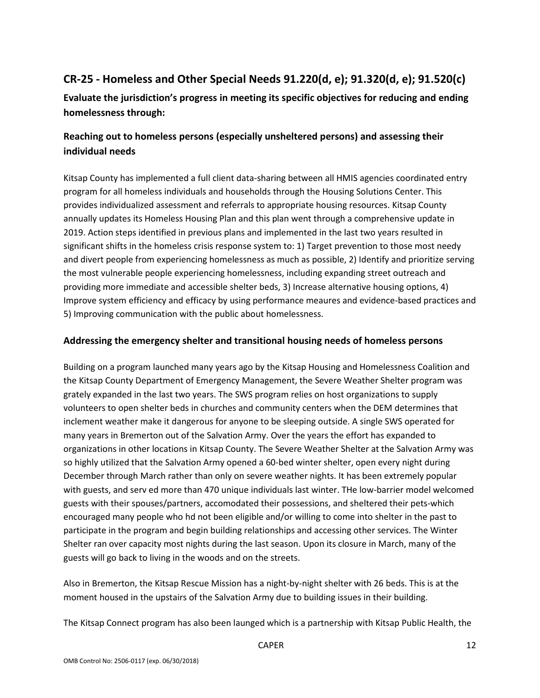# **CR-25 - Homeless and Other Special Needs 91.220(d, e); 91.320(d, e); 91.520(c)**

**Evaluate the jurisdiction's progress in meeting its specific objectives for reducing and ending homelessness through:**

## **Reaching out to homeless persons (especially unsheltered persons) and assessing their individual needs**

Kitsap County has implemented a full client data-sharing between all HMIS agencies coordinated entry program for all homeless individuals and households through the Housing Solutions Center. This provides individualized assessment and referrals to appropriate housing resources. Kitsap County annually updates its Homeless Housing Plan and this plan went through a comprehensive update in 2019. Action steps identified in previous plans and implemented in the last two years resulted in significant shifts in the homeless crisis response system to: 1) Target prevention to those most needy and divert people from experiencing homelessness as much as possible, 2) Identify and prioritize serving the most vulnerable people experiencing homelessness, including expanding street outreach and providing more immediate and accessible shelter beds, 3) Increase alternative housing options, 4) Improve system efficiency and efficacy by using performance meaures and evidence-based practices and 5) Improving communication with the public about homelessness.

### **Addressing the emergency shelter and transitional housing needs of homeless persons**

Building on a program launched many years ago by the Kitsap Housing and Homelessness Coalition and the Kitsap County Department of Emergency Management, the Severe Weather Shelter program was grately expanded in the last two years. The SWS program relies on host organizations to supply volunteers to open shelter beds in churches and community centers when the DEM determines that inclement weather make it dangerous for anyone to be sleeping outside. A single SWS operated for many years in Bremerton out of the Salvation Army. Over the years the effort has expanded to organizations in other locations in Kitsap County. The Severe Weather Shelter at the Salvation Army was so highly utilized that the Salvation Army opened a 60-bed winter shelter, open every night during December through March rather than only on severe weather nights. It has been extremely popular with guests, and serv ed more than 470 unique individuals last winter. THe low-barrier model welcomed guests with their spouses/partners, accomodated their possessions, and sheltered their pets-which encouraged many people who hd not been eligible and/or willing to come into shelter in the past to participate in the program and begin building relationships and accessing other services. The Winter Shelter ran over capacity most nights during the last season. Upon its closure in March, many of the guests will go back to living in the woods and on the streets.

Also in Bremerton, the Kitsap Rescue Mission has a night-by-night shelter with 26 beds. This is at the moment housed in the upstairs of the Salvation Army due to building issues in their building.

The Kitsap Connect program has also been launged which is a partnership with Kitsap Public Health, the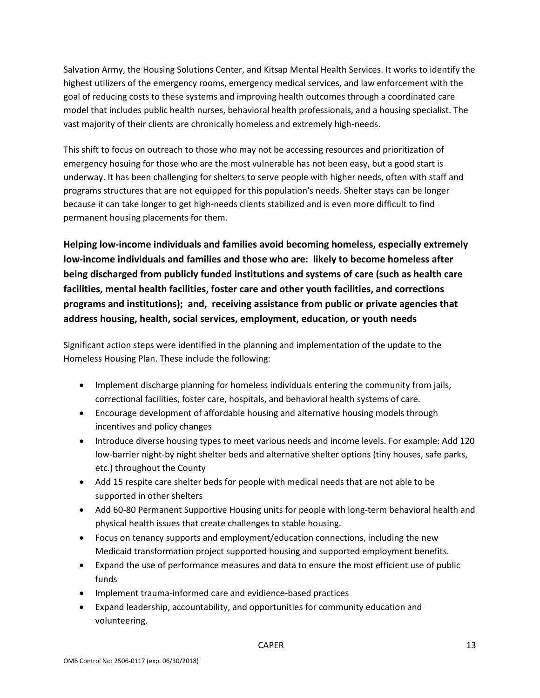Salvation Army, the Housing Solutions Center, and Kitsap Mental Health Services. It works to identify the highest utilizers of the emergency rooms, emergency medical services, and law enforcement with the goal of reducing costs to these systems and improving health outcomes through a coordinated care model that includes public health nurses, behavioral health professionals, and a housing specialist. The vast majority of their clients are chronically homeless and extremely high-needs.

This shift to focus on outreach to those who may not be accessing resources and prioritization of emergency hosuing for those who are the most vulnerable has not been easy, but a good start is underway. It has been challenging for shelters to serve people with higher needs, often with staff and programs structures that are not equipped for this population's needs. Shelter stays can be longer because it can take longer to get high-needs clients stabilized and is even more difficult to find permanent housing placements for them.

**Helping low-income individuals and families avoid becoming homeless, especially extremely low-income individuals and families and those who are: likely to become homeless after being discharged from publicly funded institutions and systems of care (such as health care facilities, mental health facilities, foster care and other youth facilities, and corrections programs and institutions); and, receiving assistance from public or private agencies that address housing, health, social services, employment, education, or youth needs**

Significant action steps were identified in the planning and implementation of the update to the Homeless Housing Plan. These include the following:

- Implement discharge planning for homeless individuals entering the community from jails, correctional facilities, foster care, hospitals, and behavioral health systems of care.
- Encourage development of affordable housing and alternative housing models through incentives and policy changes
- Introduce diverse housing types to meet various needs and income levels. For example: Add 120 low-barrier night-by night shelter beds and alternative shelter options (tiny houses, safe parks, etc.) throughout the County
- Add 15 respite care shelter beds for people with medical needs that are not able to be supported in other shelters
- Add 60-80 Permanent Supportive Housing units for people with long-term behavioral health and physical health issues that create challenges to stable housing.
- Focus on tenancy supports and employment/education connections, including the new Medicaid transformation project supported housing and supported employment benefits.
- Expand the use of performance measures and data to ensure the most efficient use of public funds
- Implement trauma-informed care and evidience-based practices
- Expand leadership, accountability, and opportunities for community education and volunteering.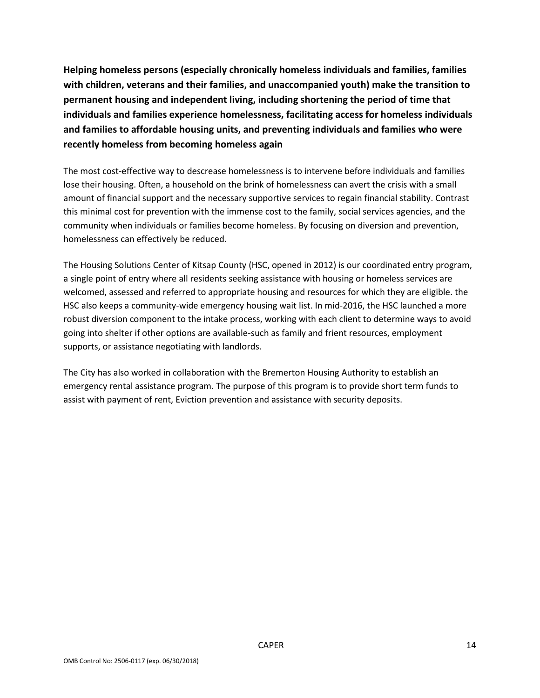**Helping homeless persons (especially chronically homeless individuals and families, families with children, veterans and their families, and unaccompanied youth) make the transition to permanent housing and independent living, including shortening the period of time that individuals and families experience homelessness, facilitating access for homeless individuals and families to affordable housing units, and preventing individuals and families who were recently homeless from becoming homeless again**

The most cost-effective way to descrease homelessness is to intervene before individuals and families lose their housing. Often, a household on the brink of homelessness can avert the crisis with a small amount of financial support and the necessary supportive services to regain financial stability. Contrast this minimal cost for prevention with the immense cost to the family, social services agencies, and the community when individuals or families become homeless. By focusing on diversion and prevention, homelessness can effectively be reduced.

The Housing Solutions Center of Kitsap County (HSC, opened in 2012) is our coordinated entry program, a single point of entry where all residents seeking assistance with housing or homeless services are welcomed, assessed and referred to appropriate housing and resources for which they are eligible. the HSC also keeps a community-wide emergency housing wait list. In mid-2016, the HSC launched a more robust diversion component to the intake process, working with each client to determine ways to avoid going into shelter if other options are available-such as family and frient resources, employment supports, or assistance negotiating with landlords.

The City has also worked in collaboration with the Bremerton Housing Authority to establish an emergency rental assistance program. The purpose of this program is to provide short term funds to assist with payment of rent, Eviction prevention and assistance with security deposits.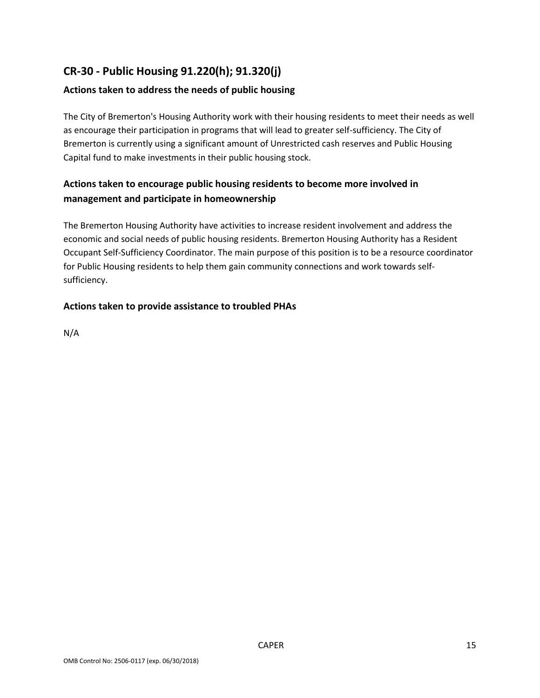# **CR-30 - Public Housing 91.220(h); 91.320(j)**

## **Actions taken to address the needs of public housing**

The City of Bremerton's Housing Authority work with their housing residents to meet their needs as well as encourage their participation in programs that will lead to greater self-sufficiency. The City of Bremerton is currently using a significant amount of Unrestricted cash reserves and Public Housing Capital fund to make investments in their public housing stock.

## **Actions taken to encourage public housing residents to become more involved in management and participate in homeownership**

The Bremerton Housing Authority have activities to increase resident involvement and address the economic and social needs of public housing residents. Bremerton Housing Authority has a Resident Occupant Self-Sufficiency Coordinator. The main purpose of this position is to be a resource coordinator for Public Housing residents to help them gain community connections and work towards selfsufficiency.

## **Actions taken to provide assistance to troubled PHAs**

N/A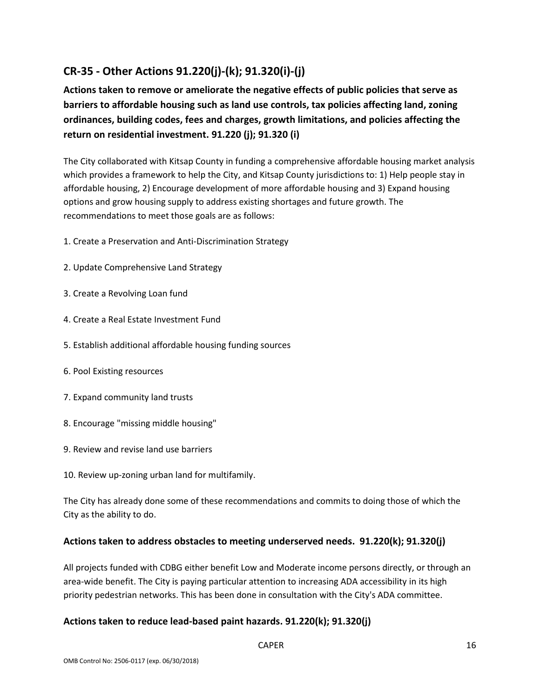# **CR-35 - Other Actions 91.220(j)-(k); 91.320(i)-(j)**

**Actions taken to remove or ameliorate the negative effects of public policies that serve as barriers to affordable housing such as land use controls, tax policies affecting land, zoning ordinances, building codes, fees and charges, growth limitations, and policies affecting the return on residential investment. 91.220 (j); 91.320 (i)**

The City collaborated with Kitsap County in funding a comprehensive affordable housing market analysis which provides a framework to help the City, and Kitsap County jurisdictions to: 1) Help people stay in affordable housing, 2) Encourage development of more affordable housing and 3) Expand housing options and grow housing supply to address existing shortages and future growth. The recommendations to meet those goals are as follows:

- 1. Create a Preservation and Anti-Discrimination Strategy
- 2. Update Comprehensive Land Strategy
- 3. Create a Revolving Loan fund
- 4. Create a Real Estate Investment Fund
- 5. Establish additional affordable housing funding sources
- 6. Pool Existing resources
- 7. Expand community land trusts
- 8. Encourage "missing middle housing"
- 9. Review and revise land use barriers
- 10. Review up-zoning urban land for multifamily.

The City has already done some of these recommendations and commits to doing those of which the City as the ability to do.

### **Actions taken to address obstacles to meeting underserved needs. 91.220(k); 91.320(j)**

All projects funded with CDBG either benefit Low and Moderate income persons directly, or through an area-wide benefit. The City is paying particular attention to increasing ADA accessibility in its high priority pedestrian networks. This has been done in consultation with the City's ADA committee.

### **Actions taken to reduce lead-based paint hazards. 91.220(k); 91.320(j)**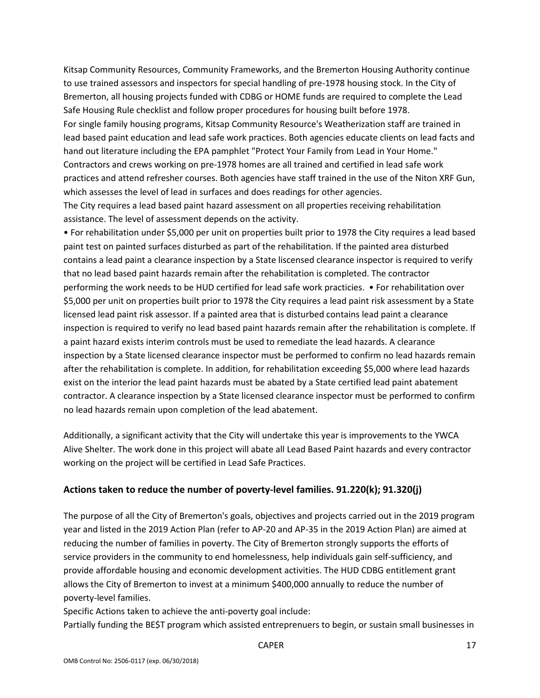Kitsap Community Resources, Community Frameworks, and the Bremerton Housing Authority continue to use trained assessors and inspectors for special handling of pre-1978 housing stock. In the City of Bremerton, all housing projects funded with CDBG or HOME funds are required to complete the Lead Safe Housing Rule checklist and follow proper procedures for housing built before 1978. For single family housing programs, Kitsap Community Resource's Weatherization staff are trained in lead based paint education and lead safe work practices. Both agencies educate clients on lead facts and hand out literature including the EPA pamphlet "Protect Your Family from Lead in Your Home." Contractors and crews working on pre-1978 homes are all trained and certified in lead safe work practices and attend refresher courses. Both agencies have staff trained in the use of the Niton XRF Gun, which assesses the level of lead in surfaces and does readings for other agencies.

The City requires a lead based paint hazard assessment on all properties receiving rehabilitation assistance. The level of assessment depends on the activity.

• For rehabilitation under \$5,000 per unit on properties built prior to 1978 the City requires a lead based paint test on painted surfaces disturbed as part of the rehabilitation. If the painted area disturbed contains a lead paint a clearance inspection by a State liscensed clearance inspector is required to verify that no lead based paint hazards remain after the rehabilitation is completed. The contractor performing the work needs to be HUD certified for lead safe work practicies. • For rehabilitation over \$5,000 per unit on properties built prior to 1978 the City requires a lead paint risk assessment by a State licensed lead paint risk assessor. If a painted area that is disturbed contains lead paint a clearance inspection is required to verify no lead based paint hazards remain after the rehabilitation is complete. If a paint hazard exists interim controls must be used to remediate the lead hazards. A clearance inspection by a State licensed clearance inspector must be performed to confirm no lead hazards remain after the rehabilitation is complete. In addition, for rehabilitation exceeding \$5,000 where lead hazards exist on the interior the lead paint hazards must be abated by a State certified lead paint abatement contractor. A clearance inspection by a State licensed clearance inspector must be performed to confirm no lead hazards remain upon completion of the lead abatement.

Additionally, a significant activity that the City will undertake this year is improvements to the YWCA Alive Shelter. The work done in this project will abate all Lead Based Paint hazards and every contractor working on the project will be certified in Lead Safe Practices.

#### **Actions taken to reduce the number of poverty-level families. 91.220(k); 91.320(j)**

The purpose of all the City of Bremerton's goals, objectives and projects carried out in the 2019 program year and listed in the 2019 Action Plan (refer to AP-20 and AP-35 in the 2019 Action Plan) are aimed at reducing the number of families in poverty. The City of Bremerton strongly supports the efforts of service providers in the community to end homelessness, help individuals gain self-sufficiency, and provide affordable housing and economic development activities. The HUD CDBG entitlement grant allows the City of Bremerton to invest at a minimum \$400,000 annually to reduce the number of poverty-level families.

Specific Actions taken to achieve the anti-poverty goal include:

Partially funding the BE\$T program which assisted entreprenuers to begin, or sustain small businesses in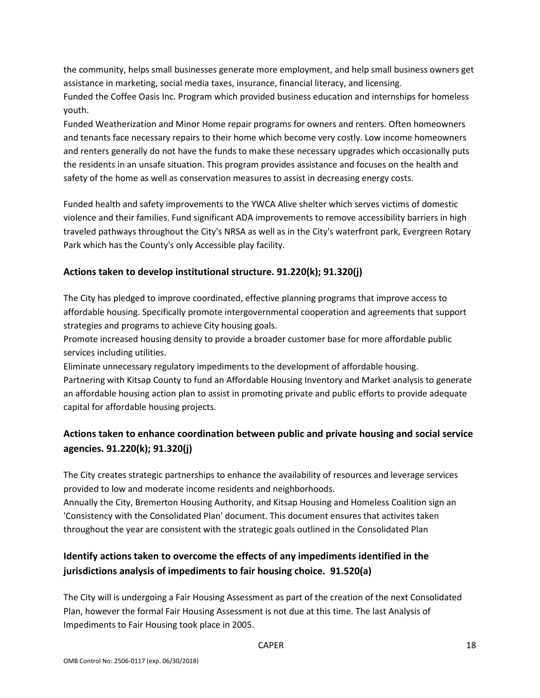the community, helps small businesses generate more employment, and help small business owners get assistance in marketing, social media taxes, insurance, financial literacy, and licensing.

Funded the Coffee Oasis Inc. Program which provided business education and internships for homeless youth.

Funded Weatherization and Minor Home repair programs for owners and renters. Often homeowners and tenants face necessary repairs to their home which become very costly. Low income homeowners and renters generally do not have the funds to make these necessary upgrades which occasionally puts the residents in an unsafe situation. This program provides assistance and focuses on the health and safety of the home as well as conservation measures to assist in decreasing energy costs.

Funded health and safety improvements to the YWCA Alive shelter which serves victims of domestic violence and their families. Fund significant ADA improvements to remove accessibility barriers in high traveled pathways throughout the City's NRSA as well as in the City's waterfront park, Evergreen Rotary Park which has the County's only Accessible play facility.

## **Actions taken to develop institutional structure. 91.220(k); 91.320(j)**

The City has pledged to improve coordinated, effective planning programs that improve access to affordable housing. Specifically promote intergovernmental cooperation and agreements that support strategies and programs to achieve City housing goals.

Promote increased housing density to provide a broader customer base for more affordable public services including utilities.

Eliminate unnecessary regulatory impediments to the development of affordable housing. Partnering with Kitsap County to fund an Affordable Housing Inventory and Market analysis to generate an affordable housing action plan to assist in promoting private and public efforts to provide adequate capital for affordable housing projects.

# **Actions taken to enhance coordination between public and private housing and social service agencies. 91.220(k); 91.320(j)**

The City creates strategic partnerships to enhance the availability of resources and leverage services provided to low and moderate income residents and neighborhoods.

Annually the City, Bremerton Housing Authority, and Kitsap Housing and Homeless Coalition sign an 'Consistency with the Consolidated Plan' document. This document ensures that activites taken throughout the year are consistent with the strategic goals outlined in the Consolidated Plan

# **Identify actions taken to overcome the effects of any impediments identified in the jurisdictions analysis of impediments to fair housing choice. 91.520(a)**

The City will is undergoing a Fair Housing Assessment as part of the creation of the next Consolidated Plan, however the formal Fair Housing Assessment is not due at this time. The last Analysis of Impediments to Fair Housing took place in 2005.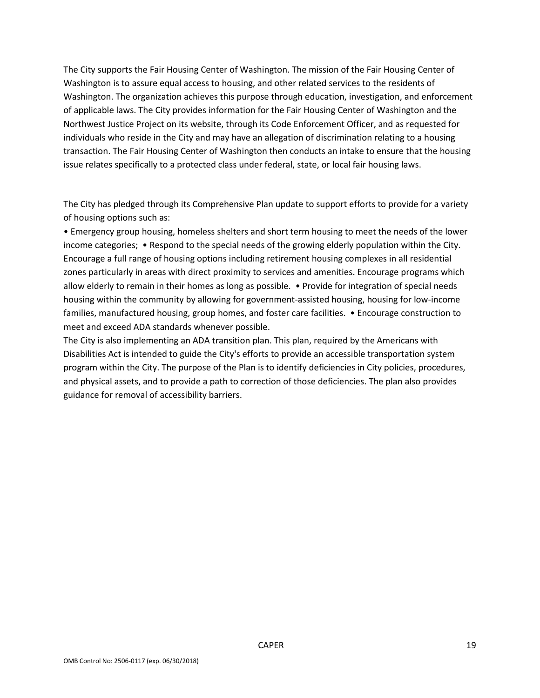The City supports the Fair Housing Center of Washington. The mission of the Fair Housing Center of Washington is to assure equal access to housing, and other related services to the residents of Washington. The organization achieves this purpose through education, investigation, and enforcement of applicable laws. The City provides information for the Fair Housing Center of Washington and the Northwest Justice Project on its website, through its Code Enforcement Officer, and as requested for individuals who reside in the City and may have an allegation of discrimination relating to a housing transaction. The Fair Housing Center of Washington then conducts an intake to ensure that the housing issue relates specifically to a protected class under federal, state, or local fair housing laws.

The City has pledged through its Comprehensive Plan update to support efforts to provide for a variety of housing options such as:

• Emergency group housing, homeless shelters and short term housing to meet the needs of the lower income categories; • Respond to the special needs of the growing elderly population within the City. Encourage a full range of housing options including retirement housing complexes in all residential zones particularly in areas with direct proximity to services and amenities. Encourage programs which allow elderly to remain in their homes as long as possible. • Provide for integration of special needs housing within the community by allowing for government-assisted housing, housing for low-income families, manufactured housing, group homes, and foster care facilities. • Encourage construction to meet and exceed ADA standards whenever possible.

The City is also implementing an ADA transition plan. This plan, required by the Americans with Disabilities Act is intended to guide the City's efforts to provide an accessible transportation system program within the City. The purpose of the Plan is to identify deficiencies in City policies, procedures, and physical assets, and to provide a path to correction of those deficiencies. The plan also provides guidance for removal of accessibility barriers.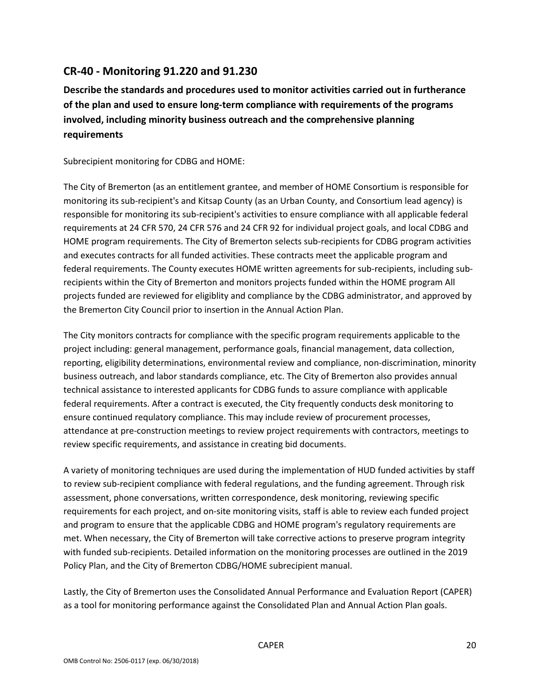## **CR-40 - Monitoring 91.220 and 91.230**

**Describe the standards and procedures used to monitor activities carried out in furtherance of the plan and used to ensure long-term compliance with requirements of the programs involved, including minority business outreach and the comprehensive planning requirements**

Subrecipient monitoring for CDBG and HOME:

The City of Bremerton (as an entitlement grantee, and member of HOME Consortium is responsible for monitoring its sub-recipient's and Kitsap County (as an Urban County, and Consortium lead agency) is responsible for monitoring its sub-recipient's activities to ensure compliance with all applicable federal requirements at 24 CFR 570, 24 CFR 576 and 24 CFR 92 for individual project goals, and local CDBG and HOME program requirements. The City of Bremerton selects sub-recipients for CDBG program activities and executes contracts for all funded activities. These contracts meet the applicable program and federal requirements. The County executes HOME written agreements for sub-recipients, including subrecipients within the City of Bremerton and monitors projects funded within the HOME program All projects funded are reviewed for eligiblity and compliance by the CDBG administrator, and approved by the Bremerton City Council prior to insertion in the Annual Action Plan.

The City monitors contracts for compliance with the specific program requirements applicable to the project including: general management, performance goals, financial management, data collection, reporting, eligibility determinations, environmental review and compliance, non-discrimination, minority business outreach, and labor standards compliance, etc. The City of Bremerton also provides annual technical assistance to interested applicants for CDBG funds to assure compliance with applicable federal requirements. After a contract is executed, the City frequently conducts desk monitoring to ensure continued requlatory compliance. This may include review of procurement processes, attendance at pre-construction meetings to review project requirements with contractors, meetings to review specific requirements, and assistance in creating bid documents.

A variety of monitoring techniques are used during the implementation of HUD funded activities by staff to review sub-recipient compliance with federal regulations, and the funding agreement. Through risk assessment, phone conversations, written correspondence, desk monitoring, reviewing specific requirements for each project, and on-site monitoring visits, staff is able to review each funded project and program to ensure that the applicable CDBG and HOME program's regulatory requirements are met. When necessary, the City of Bremerton will take corrective actions to preserve program integrity with funded sub-recipients. Detailed information on the monitoring processes are outlined in the 2019 Policy Plan, and the City of Bremerton CDBG/HOME subrecipient manual.

Lastly, the City of Bremerton uses the Consolidated Annual Performance and Evaluation Report (CAPER) as a tool for monitoring performance against the Consolidated Plan and Annual Action Plan goals.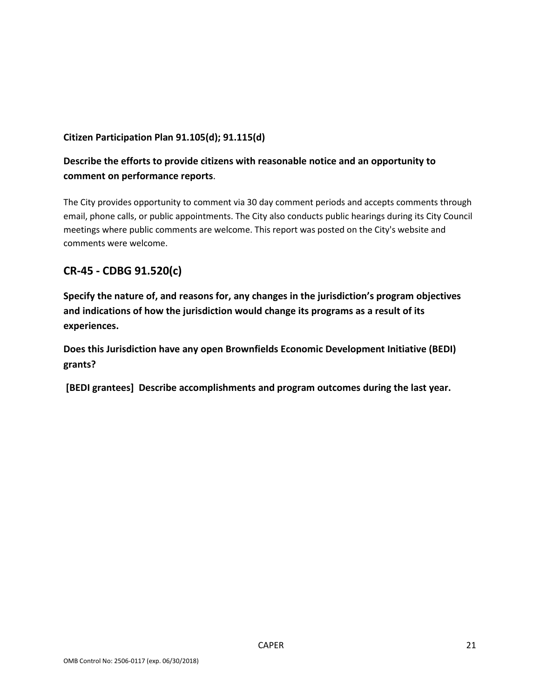## **Citizen Participation Plan 91.105(d); 91.115(d)**

## **Describe the efforts to provide citizens with reasonable notice and an opportunity to comment on performance reports**.

The City provides opportunity to comment via 30 day comment periods and accepts comments through email, phone calls, or public appointments. The City also conducts public hearings during its City Council meetings where public comments are welcome. This report was posted on the City's website and comments were welcome.

## **CR-45 - CDBG 91.520(c)**

**Specify the nature of, and reasons for, any changes in the jurisdiction's program objectives and indications of how the jurisdiction would change its programs as a result of its experiences.**

**Does this Jurisdiction have any open Brownfields Economic Development Initiative (BEDI) grants?**

**[BEDI grantees] Describe accomplishments and program outcomes during the last year.**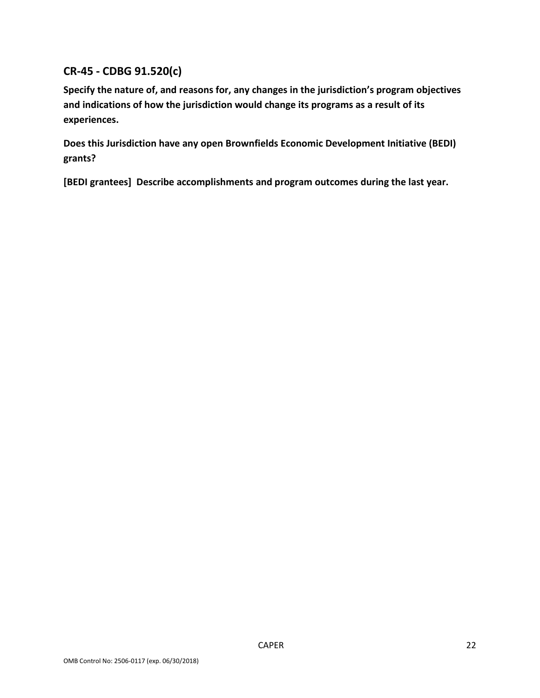# **CR-45 - CDBG 91.520(c)**

**Specify the nature of, and reasons for, any changes in the jurisdiction's program objectives and indications of how the jurisdiction would change its programs as a result of its experiences.**

**Does this Jurisdiction have any open Brownfields Economic Development Initiative (BEDI) grants?**

**[BEDI grantees] Describe accomplishments and program outcomes during the last year.**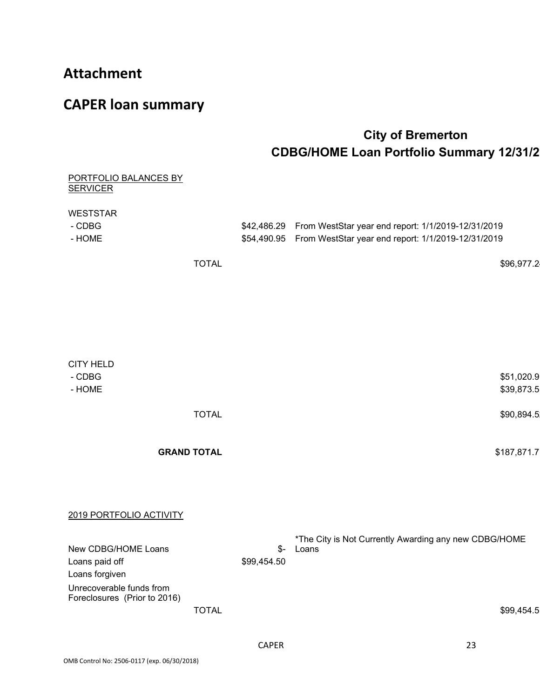# **Attachment**

# **CAPER loan summary**

# **City of Bremerton CDBG/HOME Loan Portfolio Summary 12/31/2**

| PORTFOLIO BALANCES BY<br><b>SERVICER</b>                 |                    |                    |                                                                                                                                  |
|----------------------------------------------------------|--------------------|--------------------|----------------------------------------------------------------------------------------------------------------------------------|
| <b>WESTSTAR</b><br>- CDBG<br>- HOME                      |                    |                    | \$42,486.29 From WestStar year end report: 1/1/2019-12/31/2019<br>\$54,490.95 From WestStar year end report: 1/1/2019-12/31/2019 |
|                                                          | <b>TOTAL</b>       |                    | \$96,977.2                                                                                                                       |
|                                                          |                    |                    |                                                                                                                                  |
| <b>CITY HELD</b><br>- CDBG                               |                    |                    | \$51,020.9                                                                                                                       |
| - HOME                                                   |                    |                    | \$39,873.5                                                                                                                       |
|                                                          | <b>TOTAL</b>       |                    | \$90,894.5                                                                                                                       |
|                                                          | <b>GRAND TOTAL</b> |                    | \$187,871.7                                                                                                                      |
| 2019 PORTFOLIO ACTIVITY                                  |                    |                    |                                                                                                                                  |
| New CDBG/HOME Loans<br>Loans paid off<br>Loans forgiven  |                    | \$-<br>\$99,454.50 | *The City is Not Currently Awarding any new CDBG/HOME<br>Loans                                                                   |
| Unrecoverable funds from<br>Foreclosures (Prior to 2016) | <b>TOTAL</b>       |                    | \$99,454.5                                                                                                                       |
|                                                          |                    | <b>CAPER</b>       | 23                                                                                                                               |